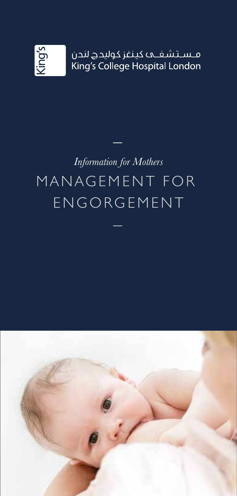

## *Information for Mothers* MANAGEMENT FOR ENGORGEMENT

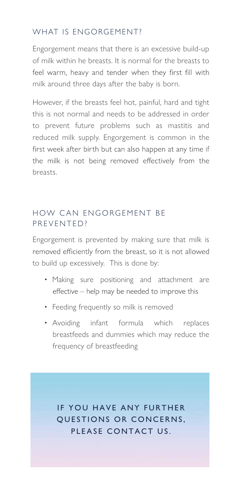## WHAT IS ENGORGEMENT?

Engorgement means that there is an excessive build-up of milk within he breasts. It is normal for the breasts to feel warm, heavy and tender when they first fill with milk around three days after the baby is born.

However, if the breasts feel hot, painful, hard and tight this is not normal and needs to be addressed in order to prevent future problems such as mastitis and reduced milk supply. Engorgement is common in the first week after birth but can also happen at any time if the milk is not being removed effectively from the breasts.

## HOW CAN ENGORGEMENT BE PREVENTED?

Engorgement is prevented by making sure that milk is removed efficiently from the breast, so it is not allowed to build up excessively. This is done by:

- Making sure positioning and attachment are effective - help may be needed to improve this
- Feeding frequently so milk is removed
- Avoiding infant formula which replaces breastfeeds and dummies which may reduce the frequency of breastfeeding

IF YOU HAVE ANY FURTHER QUESTIONS OR CONCERNS. PLEASE CONTACT US.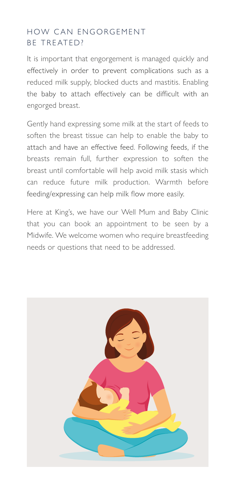## HOW CAN ENGORGEMENT BE TREATED?

It is important that engorgement is managed quickly and effectively in order to prevent complications such as a reduced milk supply, blocked ducts and mastitis. Enabling the baby to attach effectively can be difficult with an engorged breast.

Gently hand expressing some milk at the start of feeds to soften the breast tissue can help to enable the baby to attach and have an effective feed. Following feeds, if the breasts remain full, further expression to soften the breast until comfortable will help avoid milk stasis which can reduce future milk production. Warmth before feeding/expressing can help milk flow more easily.

Here at King's, we have our Well Mum and Baby Clinic that you can book an appointment to be seen by a Midwife. We welcome women who require breastfeeding needs or questions that need to be addressed.